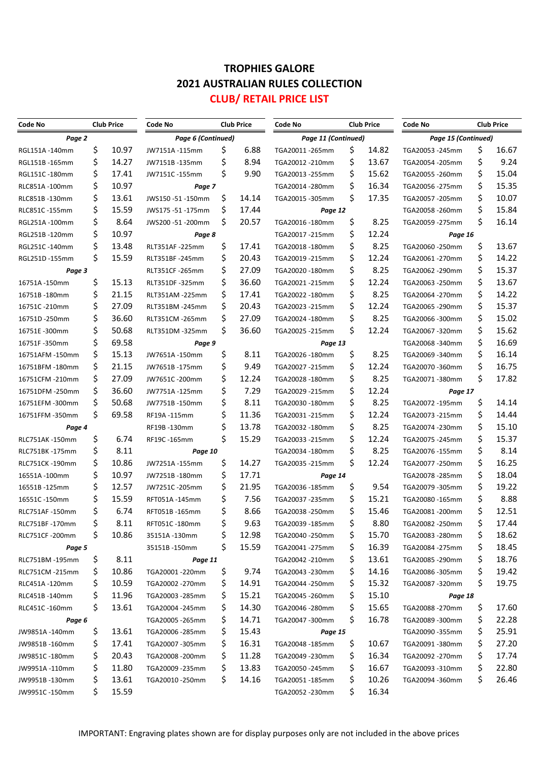## **TROPHIES GALORE 2021 AUSTRALIAN RULES COLLECTION CLUB/ RETAIL PRICE LIST**

| <b>Code No</b>  | <b>Club Price</b> |                  | <b>Club Price</b><br>Code No |       |                  | <b>Code No</b><br><b>Club Price</b> |       |                  | <b>Club Price</b><br><b>Code No</b> |       |       |  |
|-----------------|-------------------|------------------|------------------------------|-------|------------------|-------------------------------------|-------|------------------|-------------------------------------|-------|-------|--|
| Page 2          |                   |                  | Page 6 (Continued)           |       |                  | Page 11 (Continued)                 |       |                  | Page 15 (Continued)                 |       |       |  |
| RGL151A-140mm   | \$                | 10.97            | JW7151A-115mm                | \$    | 6.88             | TGA20011-265mm                      | \$    | 14.82            | TGA20053 -245mm                     | \$    | 16.67 |  |
| RGL151B-165mm   | \$                | 14.27            | JW7151B-135mm                | \$    | 8.94             | TGA20012 -210mm                     | \$    | 13.67            | TGA20054 -205mm                     | \$    | 9.24  |  |
| RGL151C-180mm   | \$                | 17.41            | JW7151C-155mm                | \$    | 9.90             | TGA20013 -255mm                     | \$    | 15.62            | TGA20055 - 260mm                    | \$    | 15.04 |  |
| RLC851A-100mm   | \$                | 10.97            | Page 7                       |       | TGA20014 -280mm  | \$                                  | 16.34 | TGA20056 - 275mm | \$                                  | 15.35 |       |  |
| RLC851B-130mm   | \$                | 13.61            | JWS150-51-150mm              | \$    | 14.14            | TGA20015 -305mm                     | \$    | 17.35            | TGA20057 - 205mm                    | \$    | 10.07 |  |
| RLC851C -155mm  | \$                | 15.59            | JWS175-51-175mm              | \$    | 17.44            | Page 12                             |       |                  | TGA20058 - 260mm                    | \$    | 15.84 |  |
| RGL251A-100mm   | \$                | 8.64             | JWS200-51-200mm              | \$    | 20.57            | TGA20016 -180mm                     | \$    | 8.25             | TGA20059 - 275mm                    | \$    | 16.14 |  |
| RGL251B-120mm   | \$                | 10.97            | Page 8                       |       | TGA20017 - 215mm | \$<br>12.24                         |       | Page 16          |                                     |       |       |  |
| RGL251C-140mm   | \$                | 13.48            | RLT351AF-225mm               | \$    | 17.41            | TGA20018-180mm                      | \$    | 8.25             | TGA20060 - 250mm                    | \$    | 13.67 |  |
| RGL251D-155mm   | \$                | 15.59            | RLT351BF-245mm               | \$    | 20.43            | TGA20019 -215mm                     | \$    | 12.24            | TGA20061-270mm                      | \$    | 14.22 |  |
| Page 3          |                   | RLT351CF -265mm  | \$                           | 27.09 | TGA20020 -180mm  | \$                                  | 8.25  | TGA20062 - 290mm | \$                                  | 15.37 |       |  |
| 16751A-150mm    | \$                | 15.13            | RLT351DF-325mm               | \$    | 36.60            | TGA20021-215mm                      | \$    | 12.24            | TGA20063 -250mm                     | \$    | 13.67 |  |
| 16751B-180mm    | \$                | 21.15            | RLT351AM -225mm              | \$    | 17.41            | TGA20022 -180mm                     | \$    | 8.25             | TGA20064 -270mm                     | \$    | 14.22 |  |
| 16751C-210mm    | \$                | 27.09            | RLT351BM -245mm              | \$    | 20.43            | TGA20023 -215mm                     | \$    | 12.24            | TGA20065 - 290mm                    | \$    | 15.37 |  |
| 16751D-250mm    | \$                | 36.60            | RLT351CM -265mm              | \$    | 27.09            | TGA20024 -180mm                     | \$    | 8.25             | TGA20066 -300mm                     | \$    | 15.02 |  |
| 16751E-300mm    | \$                | 50.68            | RLT351DM -325mm              | \$    | 36.60            | TGA20025 -215mm                     | \$    | 12.24            | TGA20067 -320mm                     | \$    | 15.62 |  |
| 16751F-350mm    | \$                | 69.58            | Page 9                       |       |                  | Page 13                             |       |                  | TGA20068-340mm                      | \$    | 16.69 |  |
| 16751AFM -150mm | \$                | 15.13            | JW7651A-150mm                | \$    | 8.11             | TGA20026-180mm                      | \$    | 8.25             | TGA20069 -340mm                     | \$    | 16.14 |  |
| 16751BFM -180mm | \$                | 21.15            | JW7651B-175mm                | \$    | 9.49             | TGA20027 -215mm                     | \$    | 12.24            | TGA20070 -360mm                     | \$    | 16.75 |  |
| 16751CFM -210mm | \$                | 27.09            | JW7651C-200mm                | \$    | 12.24            | TGA20028-180mm                      | \$    | 8.25             | TGA20071-380mm                      | \$    | 17.82 |  |
| 16751DFM -250mm | \$                | 36.60            | JW7751A-125mm                | \$    | 7.29             | TGA20029 -215mm                     | \$    | 12.24            | Page 17                             |       |       |  |
| 16751EFM -300mm | \$                | 50.68            | JW7751B-150mm                | \$    | 8.11             | TGA20030-180mm                      | \$    | 8.25             | TGA20072 -195mm                     | \$    | 14.14 |  |
| 16751FFM -350mm | \$                | 69.58            | RF19A-115mm                  | \$    | 11.36            | TGA20031-215mm                      | \$    | 12.24            | TGA20073 -215mm                     | \$    | 14.44 |  |
| Page 4          |                   |                  | RF19B-130mm                  | \$    | 13.78            | TGA20032 -180mm                     | \$    | 8.25             | TGA20074 -230mm                     | \$    | 15.10 |  |
| RLC751AK-150mm  | \$                | 6.74             | RF19C-165mm                  | \$    | 15.29            | TGA20033 -215mm                     | \$    | 12.24            | TGA20075 - 245mm                    | \$    | 15.37 |  |
| RLC751BK-175mm  | \$                | 8.11             | Page 10                      |       |                  | TGA20034 -180mm                     | \$    | 8.25             | TGA20076 -155mm                     | \$    | 8.14  |  |
| RLC751CK-190mm  | \$                | 10.86            | JW7251A -155mm               | \$    | 14.27            | TGA20035 -215mm                     | \$    | 12.24            | TGA20077 - 250mm                    | \$    | 16.25 |  |
| 16551A-100mm    | \$                | 10.97            | JW7251B-180mm                | \$    | 17.71            | Page 14                             |       | TGA20078 - 285mm | \$                                  | 18.04 |       |  |
| 16551B -125mm   | \$                | 12.57            | JW7251C-205mm                | \$    | 21.95            | TGA20036 -185mm                     | \$    | 9.54             | TGA20079 -305mm                     | \$    | 19.22 |  |
| 16551C -150mm   | \$                | 15.59            | RFT051A-145mm                | \$    | 7.56             | TGA20037 -235mm                     | \$    | 15.21            | TGA20080 -165mm                     | \$    | 8.88  |  |
| RLC751AF-150mm  | \$                | 6.74             | RFT051B-165mm                | \$    | 8.66             | TGA20038-250mm                      | \$    | 15.46            | TGA20081-200mm                      | \$    | 12.51 |  |
| RLC751BF-170mm  | ς                 | 8.11             | RFT051C -180mm               | ς     | 9.63             | TGA20039 -185mm                     | ς     | 8.80             | TGA20082 -250mm                     |       | 17.44 |  |
| RLC751CF-200mm  | \$                | 10.86            | 35151A -130mm                | Ş     | 12.98            | TGA20040 -250mm                     | Ş     | 15.70            | TGA20083 -280mm                     | Ş     | 18.62 |  |
| Page 5          |                   | 35151B -150mm    | \$                           | 15.59 | TGA20041-275mm   | \$                                  | 16.39 | TGA20084 -275mm  | \$                                  | 18.45 |       |  |
| RLC751BM-195mm  | \$                | 8.11             | Page 11                      |       |                  | TGA20042 -210mm                     | Ş     | 13.61            | TGA20085 - 290mm                    | \$    | 18.76 |  |
| RLC751CM -215mm | Ş                 | 10.86            | TGA20001-220mm               | \$    | 9.74             | TGA20043 -230mm                     | \$    | 14.16            | TGA20086 -305mm                     | \$    | 19.42 |  |
| RLC451A-120mm   | \$                | 10.59            | TGA20002 -270mm              | \$,   | 14.91            | TGA20044 -250mm                     | \$    | 15.32            | TGA20087 -320mm                     | \$    | 19.75 |  |
| RLC451B-140mm   | \$                | 11.96            | TGA20003 -285mm              | \$    | 15.21            | TGA20045 - 260mm                    | \$    | 15.10            | Page 18                             |       |       |  |
| RLC451C -160mm  | \$                | 13.61            | TGA20004 -245mm              | \$    | 14.30            | TGA20046 -280mm                     | Ş     | 15.65            | TGA20088-270mm                      | \$    | 17.60 |  |
| Page 6          |                   | TGA20005 - 265mm | \$                           | 14.71 | TGA20047 -300mm  | \$                                  | 16.78 | TGA20089 -300mm  | \$                                  | 22.28 |       |  |
| JW9851A-140mm   | Ş                 | 13.61            | TGA20006 -285mm              | \$    | 15.43            | Page 15                             |       |                  | TGA20090 -355mm                     | Ş     | 25.91 |  |
| JW9851B-160mm   | Ş                 | 17.41            | TGA20007 -305mm              | \$    | 16.31            | TGA20048-185mm                      | \$    | 10.67            | TGA20091-380mm                      | \$    | 27.20 |  |
| JW9851C -180mm  | \$                | 20.43            | TGA20008 -200mm              | \$    | 11.28            | TGA20049 -230mm                     | Ş     | 16.34            | TGA20092 -270mm                     | \$    | 17.74 |  |
| JW9951A -110mm  | Ş                 | 11.80            | TGA20009 -235mm              | \$    | 13.83            | TGA20050 -245mm                     | Ş     | 16.67            | TGA20093 -310mm                     | \$    | 22.80 |  |
| JW9951B-130mm   | \$                | 13.61            | TGA20010 -250mm              | \$.   | 14.16            | TGA20051-185mm                      | Ş     | 10.26            | TGA20094 -360mm                     | \$    | 26.46 |  |
| JW9951C-150mm   | Ś                 | 15.59            |                              |       |                  | TGA20052 -230mm                     | \$    | 16.34            |                                     |       |       |  |